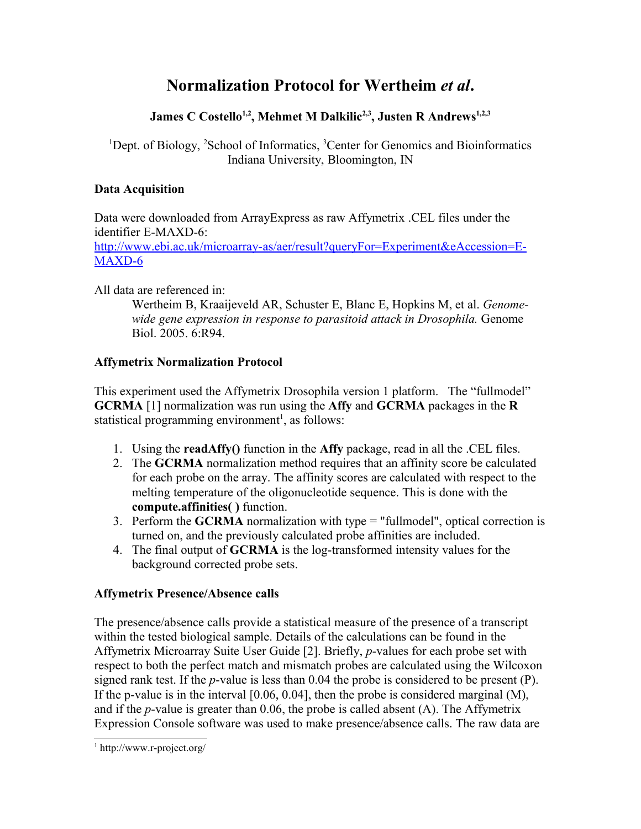# **Normalization Protocol for Wertheim** *et al***.**

# **James C Costello1,2, Mehmet M Dalkilic2,3, Justen R Andrews1,2,3**

<sup>1</sup>Dept. of Biology, <sup>2</sup>School of Informatics, <sup>3</sup>Center for Genomics and Bioinformatics Indiana University, Bloomington, IN

### **Data Acquisition**

Data were downloaded from ArrayExpress as raw Affymetrix .CEL files under the identifier E-MAXD-6:

[http://www.ebi.ac.uk/microarray-as/aer/result?queryFor=Experiment&eAccession=E-](http://www.ebi.ac.uk/microarray-as/aer/result?queryFor=Experiment&eAccession=E-MAXD-6)[MAXD-6](http://www.ebi.ac.uk/microarray-as/aer/result?queryFor=Experiment&eAccession=E-MAXD-6)

All data are referenced in:

Wertheim B, Kraaijeveld AR, Schuster E, Blanc E, Hopkins M, et al. *Genomewide gene expression in response to parasitoid attack in Drosophila.* Genome Biol. 2005. 6:R94.

### **Affymetrix Normalization Protocol**

This experiment used the Affymetrix Drosophila version 1 platform. The "fullmodel" **GCRMA** [1] normalization was run using the **Affy** and **GCRMA** packages in the **R** statistical programming environment<sup>[1](#page-0-0)</sup>, as follows:

- 1. Using the **readAffy()** function in the **Affy** package, read in all the .CEL files.
- 2. The **GCRMA** normalization method requires that an affinity score be calculated for each probe on the array. The affinity scores are calculated with respect to the melting temperature of the oligonucleotide sequence. This is done with the **compute.affinities( )** function.
- 3. Perform the **GCRMA** normalization with type = "fullmodel", optical correction is turned on, and the previously calculated probe affinities are included.
- 4. The final output of **GCRMA** is the log-transformed intensity values for the background corrected probe sets.

## **Affymetrix Presence/Absence calls**

The presence/absence calls provide a statistical measure of the presence of a transcript within the tested biological sample. Details of the calculations can be found in the Affymetrix Microarray Suite User Guide [2]. Briefly, *p*-values for each probe set with respect to both the perfect match and mismatch probes are calculated using the Wilcoxon signed rank test. If the *p*-value is less than 0.04 the probe is considered to be present (P). If the p-value is in the interval  $[0.06, 0.04]$ , then the probe is considered marginal  $(M)$ , and if the *p*-value is greater than 0.06, the probe is called absent (A). The Affymetrix Expression Console software was used to make presence/absence calls. The raw data are

<span id="page-0-0"></span><sup>1</sup> http://www.r-project.org/